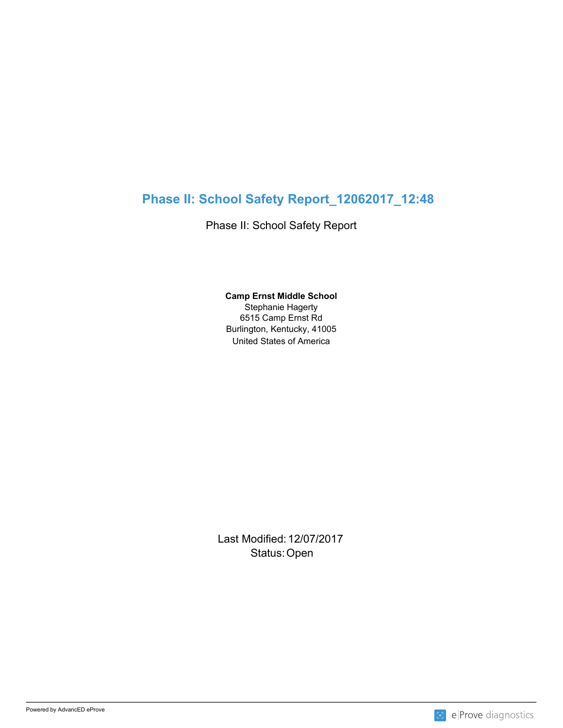# **Phase II: School Safety Report\_12062017\_12:48**

Phase II: School Safety Report

United States of America **Camp Ernst Middle School** Stephanie Hagerty 6515 Camp Ernst Rd Burlington, Kentucky, 41005

Last Modified: 12/07/2017 Status: Open **Contract Contract Contract Contract Contract Contract Contract Contract Contract Contract Contract Contract Contract Contract Contract Contract Contract Contract Contract Contract Contract Contract Contract C** 

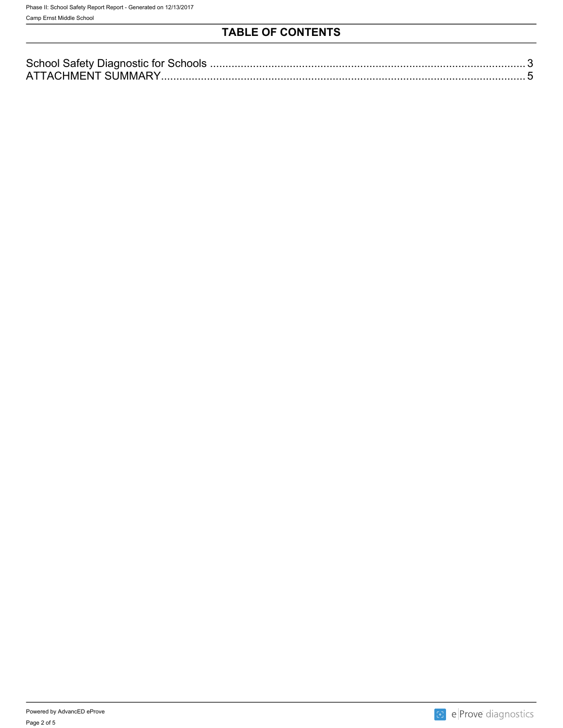# **TABLE OF CONTENTS**

| Δ |  |
|---|--|

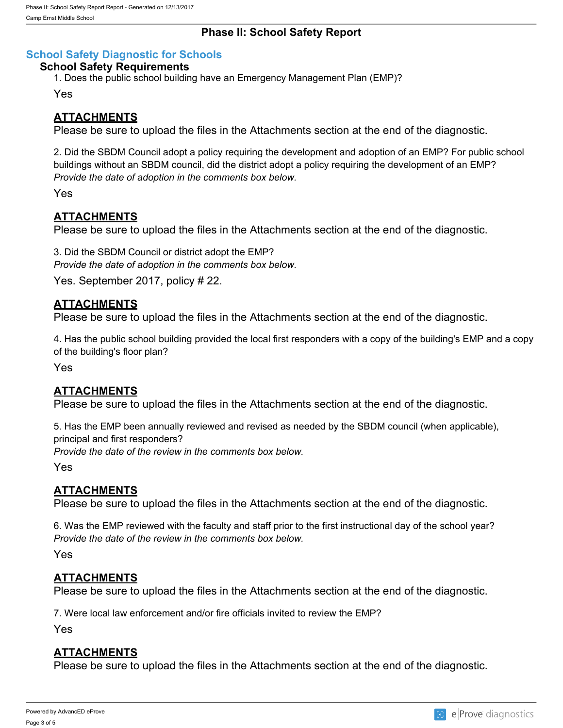### **Phase II: School Safety Report**

### <span id="page-2-0"></span>**School Safety Diagnostic for Schools**

#### **School Safety Requirements**

1. Does the public school building have an Emergency Management Plan (EMP)?

Yes

### **ATTACHMENTS**

Please be sure to upload the files in the Attachments section at the end of the diagnostic.

2. Did the SBDM Council adopt a policy requiring the development and adoption of an EMP? For public school buildings without an SBDM council, did the district adopt a policy requiring the development of an EMP? *Provide the date of adoption in the comments box below.*

Yes

### **ATTACHMENTS**

Please be sure to upload the files in the Attachments section at the end of the diagnostic.

3. Did the SBDM Council or district adopt the EMP? *Provide the date of adoption in the comments box below.*

Yes. September 2017, policy # 22.

#### **ATTACHMENTS**

Please be sure to upload the files in the Attachments section at the end of the diagnostic.

4. Has the public school building provided the local first responders with a copy of the building's EMP and a copy of the building's floor plan?

Yes

# **ATTACHMENTS**

Please be sure to upload the files in the Attachments section at the end of the diagnostic.

5. Has the EMP been annually reviewed and revised as needed by the SBDM council (when applicable), principal and first responders?

*Provide the date of the review in the comments box below.*

Yes

#### **ATTACHMENTS**

Please be sure to upload the files in the Attachments section at the end of the diagnostic.

6. Was the EMP reviewed with the faculty and staff prior to the first instructional day of the school year? *Provide the date of the review in the comments box below.*

Yes

#### **ATTACHMENTS**

Please be sure to upload the files in the Attachments section at the end of the diagnostic.

7. Were local law enforcement and/or fire officials invited to review the EMP?

Yes

# **ATTACHMENTS**

Please be sure to upload the files in the Attachments section at the end of the diagnostic.

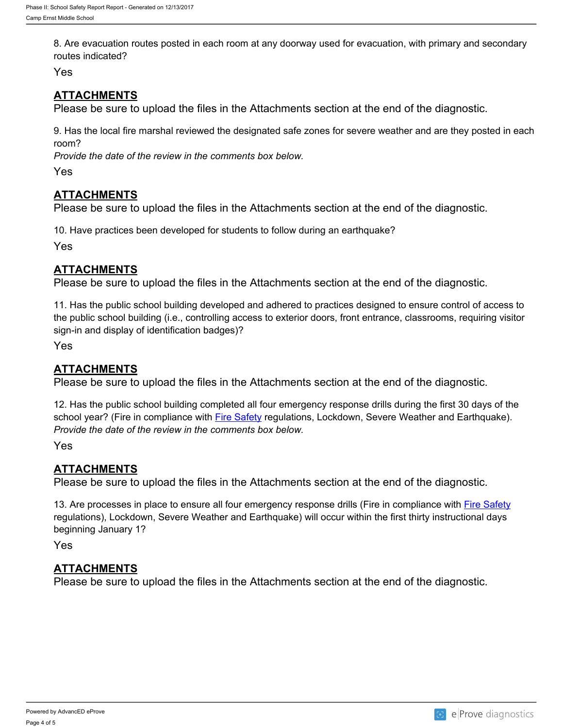8. Are evacuation routes posted in each room at any doorway used for evacuation, with primary and secondary routes indicated?

Yes

# **ATTACHMENTS**

Please be sure to upload the files in the Attachments section at the end of the diagnostic.

9. Has the local fire marshal reviewed the designated safe zones for severe weather and are they posted in each room?

*Provide the date of the review in the comments box below.*

Yes

# **ATTACHMENTS**

Please be sure to upload the files in the Attachments section at the end of the diagnostic.

10. Have practices been developed for students to follow during an earthquake?

Yes

# **ATTACHMENTS**

Please be sure to upload the files in the Attachments section at the end of the diagnostic.

11. Has the public school building developed and adhered to practices designed to ensure control of access to the public school building (i.e., controlling access to exterior doors, front entrance, classrooms, requiring visitor sign-in and display of identification badges)?

Yes

# **ATTACHMENTS**

Please be sure to upload the files in the Attachments section at the end of the diagnostic.

12. Has the public school building completed all four emergency response drills during the first 30 days of the school year? (Fire in compliance with [Fire Safety](http://www.lrc.ky.gov/kar/815/010/060.htm) regulations, Lockdown, Severe Weather and Earthquake). *Provide the date of the review in the comments box below.*

Yes

# **ATTACHMENTS**

Please be sure to upload the files in the Attachments section at the end of the diagnostic.

13. Are processes in place to ensure all four emergency response drills (Fire in compliance with *[Fire Safety](http://www.lrc.ky.gov/kar/815/010/060.htm)* regulations), Lockdown, Severe Weather and Earthquake) will occur within the first thirty instructional days beginning January 1?

Yes

# **ATTACHMENTS**

Please be sure to upload the files in the Attachments section at the end of the diagnostic.